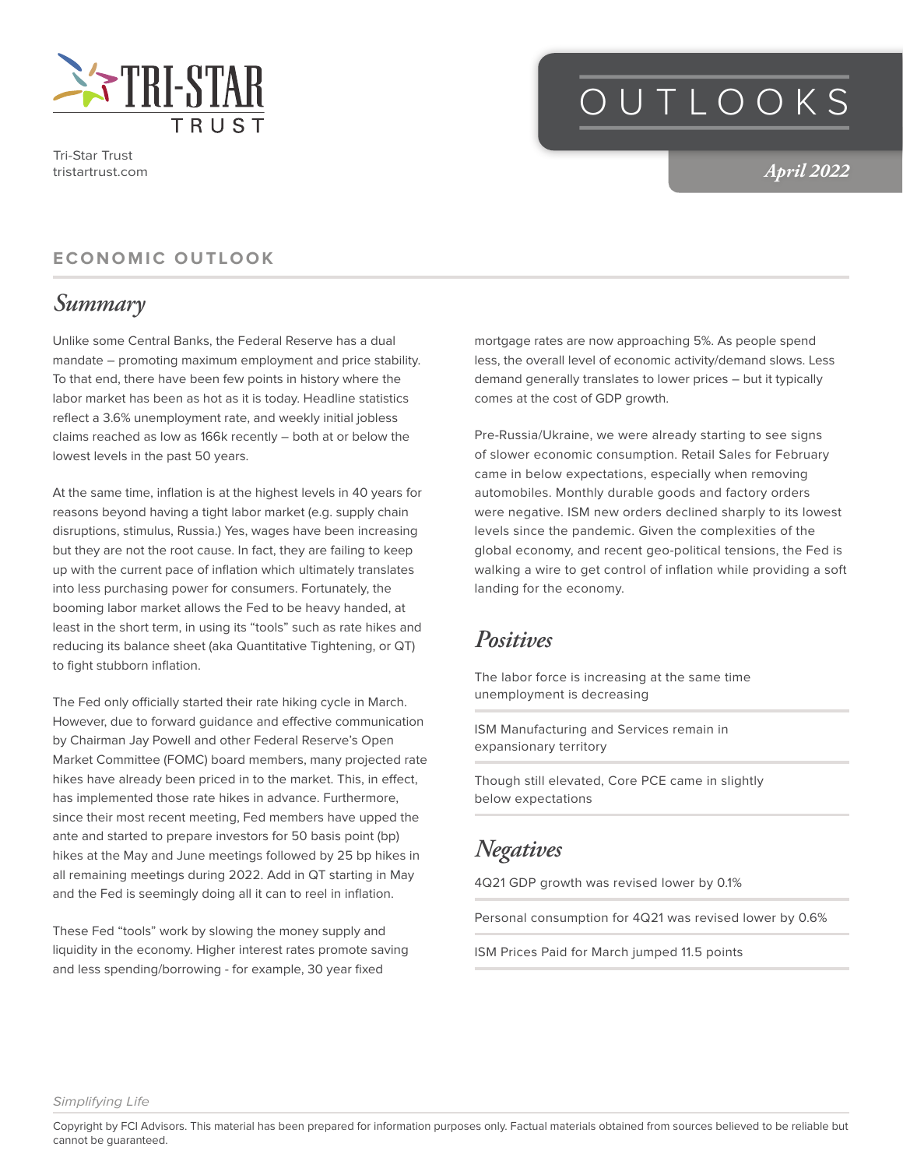

Tri-Star Trust tristartrust.com

# OUTLOOKS

*April 2022*

#### **ECONOMIC OUTLOOK**

### *Summary*

Unlike some Central Banks, the Federal Reserve has a dual mandate – promoting maximum employment and price stability. To that end, there have been few points in history where the labor market has been as hot as it is today. Headline statistics reflect a 3.6% unemployment rate, and weekly initial jobless claims reached as low as 166k recently – both at or below the lowest levels in the past 50 years.

At the same time, inflation is at the highest levels in 40 years for reasons beyond having a tight labor market (e.g. supply chain disruptions, stimulus, Russia.) Yes, wages have been increasing but they are not the root cause. In fact, they are failing to keep up with the current pace of inflation which ultimately translates into less purchasing power for consumers. Fortunately, the booming labor market allows the Fed to be heavy handed, at least in the short term, in using its "tools" such as rate hikes and reducing its balance sheet (aka Quantitative Tightening, or QT) to fight stubborn inflation.

The Fed only officially started their rate hiking cycle in March. However, due to forward guidance and effective communication by Chairman Jay Powell and other Federal Reserve's Open Market Committee (FOMC) board members, many projected rate hikes have already been priced in to the market. This, in effect, has implemented those rate hikes in advance. Furthermore, since their most recent meeting, Fed members have upped the ante and started to prepare investors for 50 basis point (bp) hikes at the May and June meetings followed by 25 bp hikes in all remaining meetings during 2022. Add in QT starting in May and the Fed is seemingly doing all it can to reel in inflation.

These Fed "tools" work by slowing the money supply and liquidity in the economy. Higher interest rates promote saving and less spending/borrowing - for example, 30 year fixed

mortgage rates are now approaching 5%. As people spend less, the overall level of economic activity/demand slows. Less demand generally translates to lower prices – but it typically comes at the cost of GDP growth.

Pre-Russia/Ukraine, we were already starting to see signs of slower economic consumption. Retail Sales for February came in below expectations, especially when removing automobiles. Monthly durable goods and factory orders were negative. ISM new orders declined sharply to its lowest levels since the pandemic. Given the complexities of the global economy, and recent geo-political tensions, the Fed is walking a wire to get control of inflation while providing a soft landing for the economy.

#### *Positives*

The labor force is increasing at the same time unemployment is decreasing

ISM Manufacturing and Services remain in expansionary territory

Though still elevated, Core PCE came in slightly below expectations

#### *Negatives*

4Q21 GDP growth was revised lower by 0.1%

Personal consumption for 4Q21 was revised lower by 0.6%

ISM Prices Paid for March jumped 11.5 points

*Simplifying Life*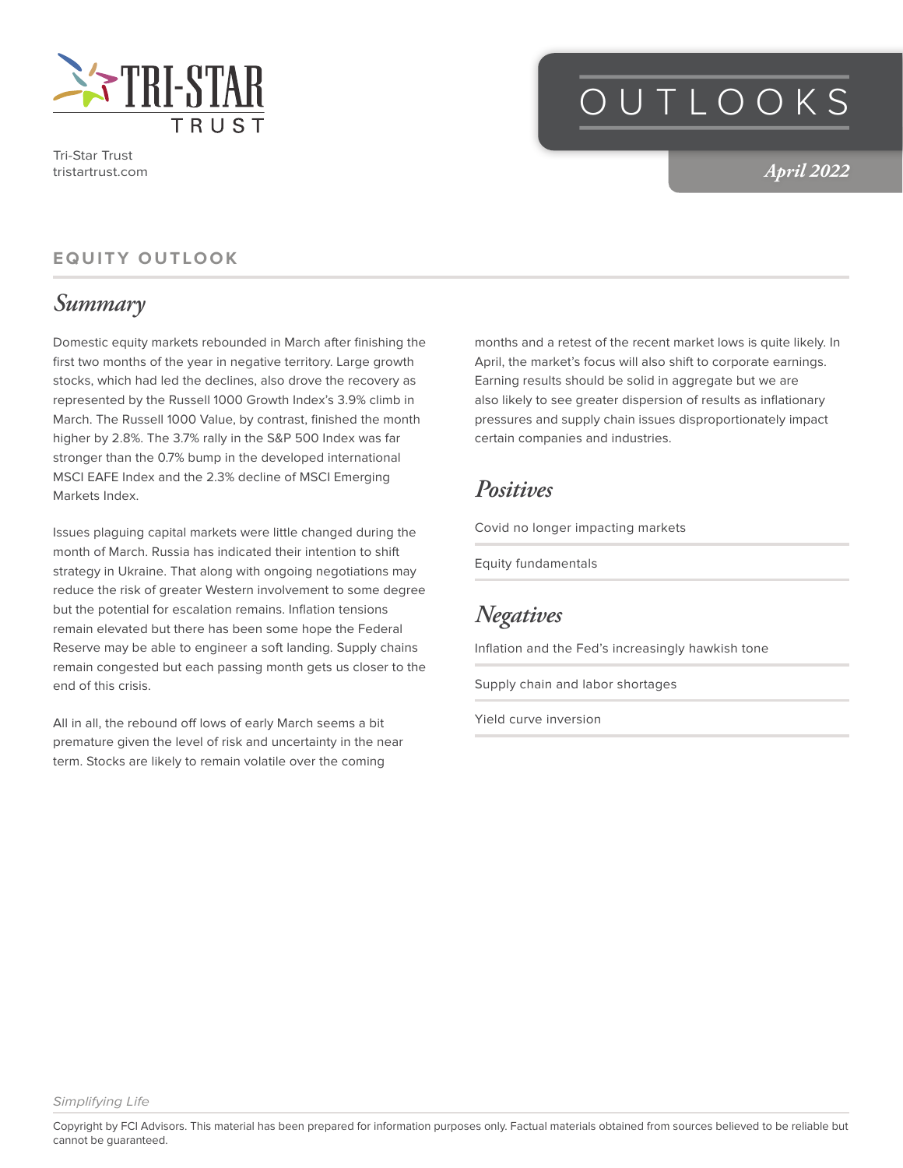

Tri-Star Trust tristartrust.com

# OUTLOOKS

*April 2022*

#### **EQUITY OUTLOOK**

### *Summary*

Domestic equity markets rebounded in March after finishing the first two months of the year in negative territory. Large growth stocks, which had led the declines, also drove the recovery as represented by the Russell 1000 Growth Index's 3.9% climb in March. The Russell 1000 Value, by contrast, finished the month higher by 2.8%. The 3.7% rally in the S&P 500 Index was far stronger than the 0.7% bump in the developed international MSCI EAFE Index and the 2.3% decline of MSCI Emerging Markets Index.

Issues plaguing capital markets were little changed during the month of March. Russia has indicated their intention to shift strategy in Ukraine. That along with ongoing negotiations may reduce the risk of greater Western involvement to some degree but the potential for escalation remains. Inflation tensions remain elevated but there has been some hope the Federal Reserve may be able to engineer a soft landing. Supply chains remain congested but each passing month gets us closer to the end of this crisis.

All in all, the rebound off lows of early March seems a bit premature given the level of risk and uncertainty in the near term. Stocks are likely to remain volatile over the coming

months and a retest of the recent market lows is quite likely. In April, the market's focus will also shift to corporate earnings. Earning results should be solid in aggregate but we are also likely to see greater dispersion of results as inflationary pressures and supply chain issues disproportionately impact certain companies and industries.

#### *Positives*

Covid no longer impacting markets

Equity fundamentals

*Negatives*

Inflation and the Fed's increasingly hawkish tone

Supply chain and labor shortages

Yield curve inversion

*Simplifying Life*

Copyright by FCI Advisors. This material has been prepared for information purposes only. Factual materials obtained from sources believed to be reliable but cannot be guaranteed.